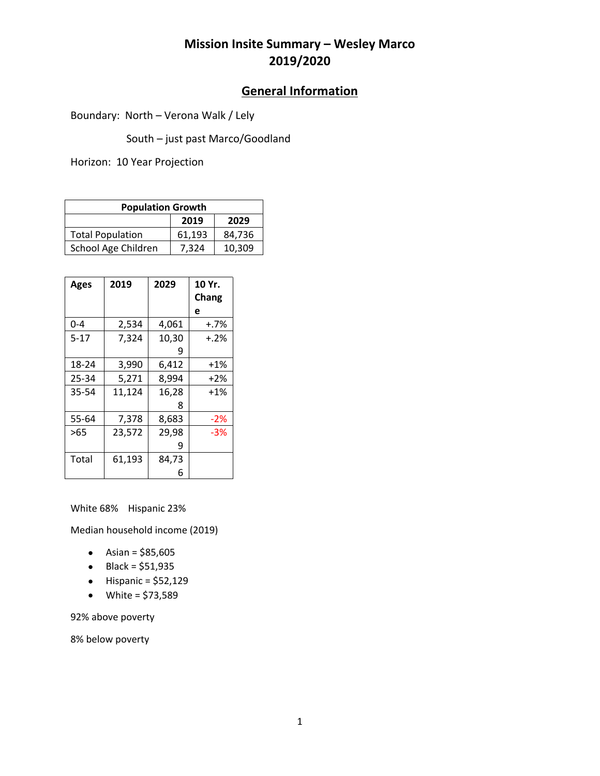## **Mission Insite Summary – Wesley Marco 2019/2020**

#### **General Information**

Boundary: North – Verona Walk / Lely

South – just past Marco/Goodland

Horizon: 10 Year Projection

| <b>Population Growth</b> |        |        |  |
|--------------------------|--------|--------|--|
|                          | 2019   | 2029   |  |
| <b>Total Population</b>  | 61.193 | 84.736 |  |
| School Age Children      | 7.324  | 10,309 |  |

| <b>Ages</b> | 2019   | 2029  | 10 Yr.<br>Chang |
|-------------|--------|-------|-----------------|
|             |        |       | e               |
| $0 - 4$     | 2,534  | 4,061 | $+.7\%$         |
| $5 - 17$    | 7,324  | 10,30 | $+.2%$          |
|             |        | 9     |                 |
| 18-24       | 3,990  | 6,412 | $+1\%$          |
| 25-34       | 5,271  | 8,994 | $+2%$           |
| 35-54       | 11,124 | 16,28 | $+1%$           |
|             |        | 8     |                 |
| 55-64       | 7,378  | 8,683 | $-2%$           |
| $>65$       | 23,572 | 29,98 | $-3%$           |
|             |        | 9     |                 |
| Total       | 61,193 | 84,73 |                 |
|             |        | 6     |                 |

White 68% Hispanic 23%

Median household income (2019)

- Asian =  $$85,605$
- $\bullet$  Black = \$51,935
- $\bullet$  Hispanic = \$52,129
- White =  $$73,589$

92% above poverty

8% below poverty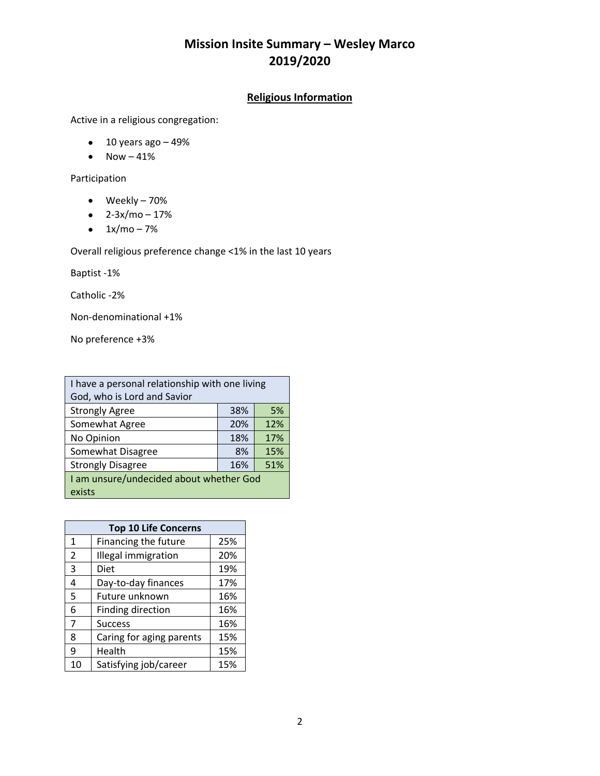## **Mission Insite Summary – Wesley Marco 2019/2020**

#### **Religious Information**

Active in a religious congregation:

- $\bullet$  10 years ago  $-49\%$
- $\bullet$  Now  $-41\%$

Participation

- Weekly 70%
- $\bullet$  2-3x/mo 17%
- $\bullet$  1x/mo 7%

Overall religious preference change <1% in the last 10 years

Baptist -1%

Catholic -2%

Non-denominational +1%

No preference +3%

| I have a personal relationship with one living |     |     |
|------------------------------------------------|-----|-----|
| God, who is Lord and Savior                    |     |     |
| <b>Strongly Agree</b>                          | 38% | 5%  |
| Somewhat Agree                                 | 20% | 12% |
| No Opinion                                     | 18% | 17% |
| Somewhat Disagree                              | 8%  | 15% |
| <b>Strongly Disagree</b>                       | 16% | 51% |
| I am unsure/undecided about whether God        |     |     |
| exists                                         |     |     |

|    | <b>Top 10 Life Concerns</b> |     |
|----|-----------------------------|-----|
| 1  | Financing the future        | 25% |
| 2  | Illegal immigration         | 20% |
| 3  | Diet                        | 19% |
| 4  | Day-to-day finances         | 17% |
| 5  | Future unknown              | 16% |
| 6  | Finding direction           | 16% |
| 7  | <b>Success</b>              | 16% |
| 8  | Caring for aging parents    | 15% |
| 9  | Health                      | 15% |
| 10 | Satisfying job/career       | 15% |